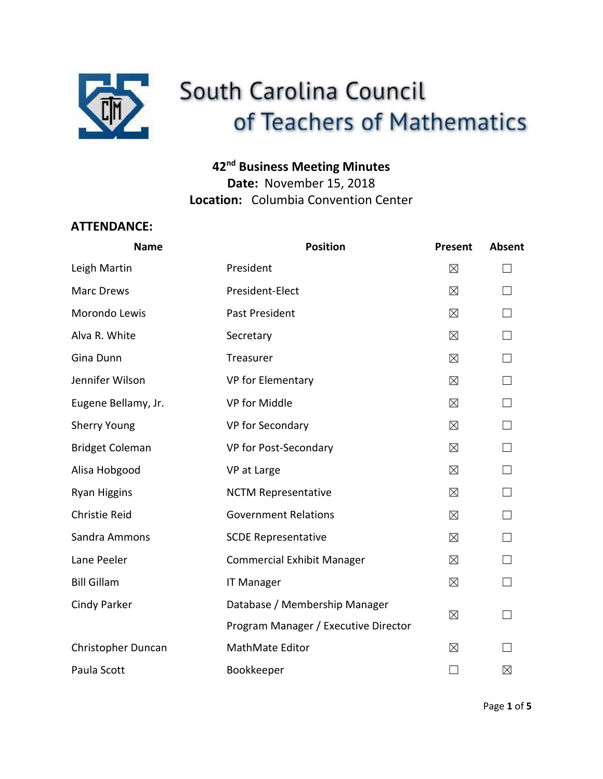

# South Carolina Council of Teachers of Mathematics

# **42nd Business Meeting Minutes**

**Date:** November 15, 2018 **Location:** Columbia Convention Center

## **ATTENDANCE:**

| <b>Name</b>            | <b>Position</b>                      | Present     | Absent  |
|------------------------|--------------------------------------|-------------|---------|
| Leigh Martin           | President                            | $\boxtimes$ |         |
| Marc Drews             | President-Elect                      | $\boxtimes$ |         |
| Morondo Lewis          | <b>Past President</b>                | $\boxtimes$ |         |
| Alva R. White          | Secretary                            | $\boxtimes$ | $\perp$ |
| Gina Dunn              | Treasurer                            | $\boxtimes$ |         |
| Jennifer Wilson        | VP for Elementary                    | $\boxtimes$ |         |
| Eugene Bellamy, Jr.    | VP for Middle                        | $\boxtimes$ | П       |
| <b>Sherry Young</b>    | VP for Secondary                     | $\boxtimes$ | П       |
| <b>Bridget Coleman</b> | VP for Post-Secondary                | $\boxtimes$ | П       |
| Alisa Hobgood          | VP at Large                          | $\boxtimes$ |         |
| <b>Ryan Higgins</b>    | <b>NCTM Representative</b>           | ⊠           |         |
| <b>Christie Reid</b>   | <b>Government Relations</b>          | $\boxtimes$ |         |
| Sandra Ammons          | <b>SCDE Representative</b>           | $\boxtimes$ |         |
| Lane Peeler            | <b>Commercial Exhibit Manager</b>    | $\boxtimes$ | П       |
| <b>Bill Gillam</b>     | <b>IT Manager</b>                    | $\boxtimes$ |         |
| Cindy Parker           | Database / Membership Manager        | $\boxtimes$ |         |
|                        | Program Manager / Executive Director |             |         |
| Christopher Duncan     | MathMate Editor                      | $\times$    |         |
| Paula Scott            | Bookkeeper                           | $\Box$      | ⊠       |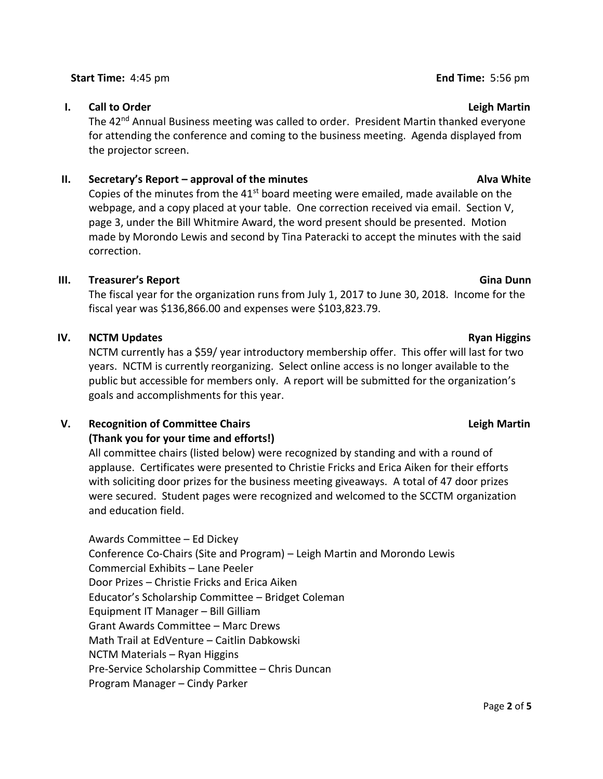#### **Start Time:** 4:45 pm **End Time:** 5:56 pm

### **I.** Call to Order Leight Martin School Control of the Leight Martin Leight Martin Leight Martin

The 42<sup>nd</sup> Annual Business meeting was called to order. President Martin thanked everyone for attending the conference and coming to the business meeting. Agenda displayed from the projector screen.

### **II.** Secretary's Report – approval of the minutes Alva White Alva White

Copies of the minutes from the  $41<sup>st</sup>$  board meeting were emailed, made available on the webpage, and a copy placed at your table. One correction received via email. Section V, page 3, under the Bill Whitmire Award, the word present should be presented. Motion made by Morondo Lewis and second by Tina Pateracki to accept the minutes with the said correction.

#### **III. Treasurer's Report Gina Dunn**

The fiscal year for the organization runs from July 1, 2017 to June 30, 2018. Income for the fiscal year was \$136,866.00 and expenses were \$103,823.79.

### **IV. NCTM Updates Ryan Higgins Ryan Higgins**

NCTM currently has a \$59/ year introductory membership offer. This offer will last for two years. NCTM is currently reorganizing. Select online access is no longer available to the public but accessible for members only. A report will be submitted for the organization's goals and accomplishments for this year.

### **V.** Recognition of Committee Chairs **Leighter Committee Chairs Leighter Committee Chairs Leighter Committee Chairs**

### **(Thank you for your time and efforts!)**

All committee chairs (listed below) were recognized by standing and with a round of applause. Certificates were presented to Christie Fricks and Erica Aiken for their efforts with soliciting door prizes for the business meeting giveaways. A total of 47 door prizes were secured. Student pages were recognized and welcomed to the SCCTM organization and education field.

Awards Committee – Ed Dickey Conference Co-Chairs (Site and Program) – Leigh Martin and Morondo Lewis Commercial Exhibits – Lane Peeler Door Prizes – Christie Fricks and Erica Aiken Educator's Scholarship Committee – Bridget Coleman Equipment IT Manager – Bill Gilliam Grant Awards Committee – Marc Drews Math Trail at EdVenture – Caitlin Dabkowski NCTM Materials – Ryan Higgins Pre-Service Scholarship Committee – Chris Duncan Program Manager – Cindy Parker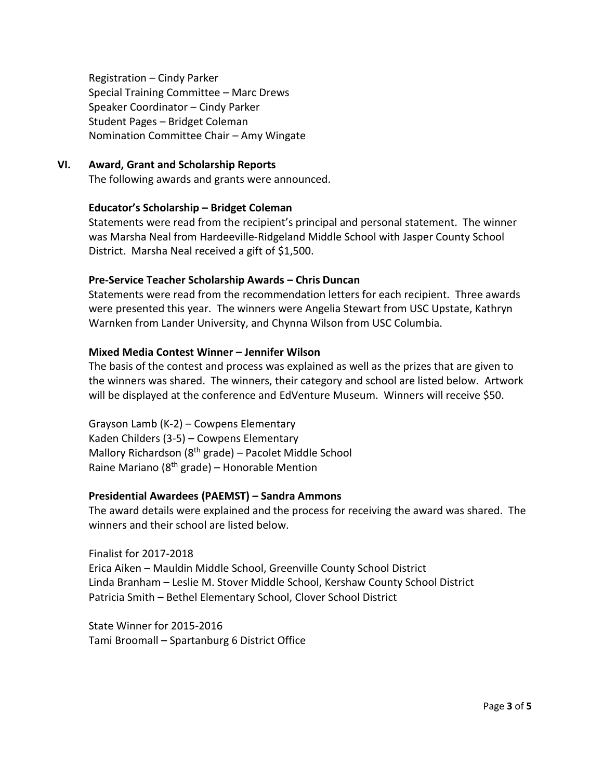Registration – Cindy Parker Special Training Committee – Marc Drews Speaker Coordinator – Cindy Parker Student Pages – Bridget Coleman Nomination Committee Chair – Amy Wingate

#### **VI. Award, Grant and Scholarship Reports**

The following awards and grants were announced.

#### **Educator's Scholarship – Bridget Coleman**

Statements were read from the recipient's principal and personal statement. The winner was Marsha Neal from Hardeeville-Ridgeland Middle School with Jasper County School District. Marsha Neal received a gift of \$1,500.

#### **Pre-Service Teacher Scholarship Awards – Chris Duncan**

Statements were read from the recommendation letters for each recipient. Three awards were presented this year. The winners were Angelia Stewart from USC Upstate, Kathryn Warnken from Lander University, and Chynna Wilson from USC Columbia.

#### **Mixed Media Contest Winner – Jennifer Wilson**

The basis of the contest and process was explained as well as the prizes that are given to the winners was shared. The winners, their category and school are listed below. Artwork will be displayed at the conference and EdVenture Museum. Winners will receive \$50.

Grayson Lamb (K-2) – Cowpens Elementary Kaden Childers (3-5) – Cowpens Elementary Mallory Richardson (8th grade) – Pacolet Middle School Raine Mariano ( $8<sup>th</sup>$  grade) – Honorable Mention

#### **Presidential Awardees (PAEMST) – Sandra Ammons**

The award details were explained and the process for receiving the award was shared. The winners and their school are listed below.

Finalist for 2017-2018 Erica Aiken – Mauldin Middle School, Greenville County School District Linda Branham – Leslie M. Stover Middle School, Kershaw County School District Patricia Smith – Bethel Elementary School, Clover School District

State Winner for 2015-2016 Tami Broomall – Spartanburg 6 District Office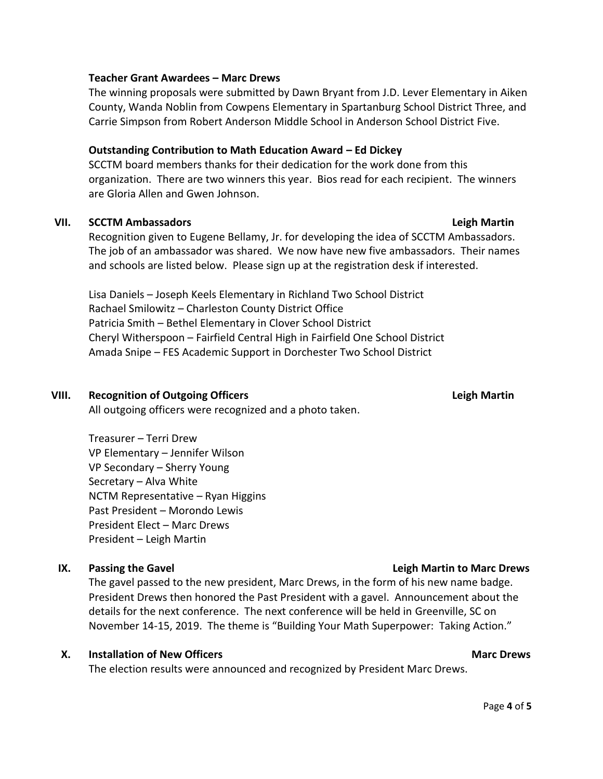#### **Teacher Grant Awardees – Marc Drews**

The winning proposals were submitted by Dawn Bryant from J.D. Lever Elementary in Aiken County, Wanda Noblin from Cowpens Elementary in Spartanburg School District Three, and Carrie Simpson from Robert Anderson Middle School in Anderson School District Five.

#### **Outstanding Contribution to Math Education Award – Ed Dickey**

SCCTM board members thanks for their dedication for the work done from this organization. There are two winners this year. Bios read for each recipient. The winners are Gloria Allen and Gwen Johnson.

#### **VII. SCCTM Ambassadors Leigh Martin**

Recognition given to Eugene Bellamy, Jr. for developing the idea of SCCTM Ambassadors. The job of an ambassador was shared. We now have new five ambassadors. Their names and schools are listed below. Please sign up at the registration desk if interested.

Lisa Daniels – Joseph Keels Elementary in Richland Two School District Rachael Smilowitz – Charleston County District Office Patricia Smith – Bethel Elementary in Clover School District Cheryl Witherspoon – Fairfield Central High in Fairfield One School District Amada Snipe – FES Academic Support in Dorchester Two School District

#### **VIII. Recognition of Outgoing Officers Leigh Martin**

All outgoing officers were recognized and a photo taken.

Treasurer – Terri Drew VP Elementary – Jennifer Wilson VP Secondary – Sherry Young Secretary – Alva White NCTM Representative – Ryan Higgins Past President – Morondo Lewis President Elect – Marc Drews President – Leigh Martin

The gavel passed to the new president, Marc Drews, in the form of his new name badge. President Drews then honored the Past President with a gavel. Announcement about the details for the next conference. The next conference will be held in Greenville, SC on November 14-15, 2019. The theme is "Building Your Math Superpower: Taking Action."

#### **X.** Installation of New Officers Marc Drews Marc Drews

The election results were announced and recognized by President Marc Drews.

### **IX.** Passing the Gavel **Letter Accord 20 and 20 and 20 and 20 and 20 and 20 and 20 and 20 and 20 and 20 and 20 and 20 and 20 and 20 and 20 and 20 and 20 and 20 and 20 and 20 and 20 and 20 and 20 and 20 and 20 and 20 and 2**